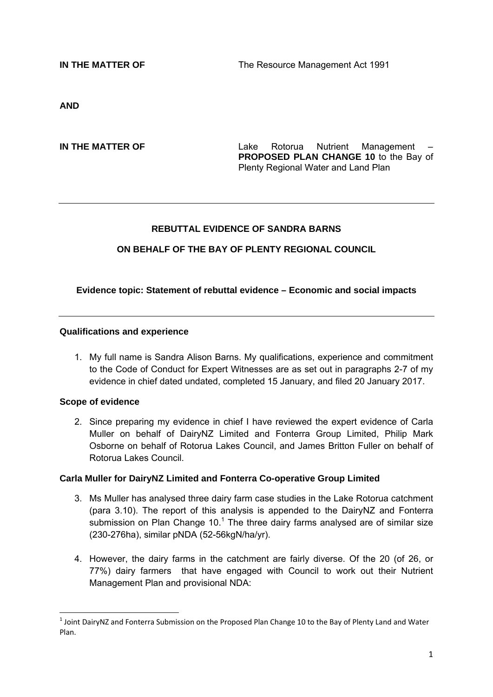**IN THE MATTER OF THE RESOURCE MANAGEMENT ACT 1991** 

**AND** 

**IN THE MATTER OF THE SAMPLE 2008 CONTROLLER CONTROLLER CONTROLLER CONTROLLER CONTROLLER CONTROLLER CONTROLLER PROPOSED PLAN CHANGE 10** to the Bay of Plenty Regional Water and Land Plan

## **REBUTTAL EVIDENCE OF SANDRA BARNS**

## **ON BEHALF OF THE BAY OF PLENTY REGIONAL COUNCIL**

#### **Evidence topic: Statement of rebuttal evidence – Economic and social impacts**

#### **Qualifications and experience**

1. My full name is Sandra Alison Barns. My qualifications, experience and commitment to the Code of Conduct for Expert Witnesses are as set out in paragraphs 2-7 of my evidence in chief dated undated, completed 15 January, and filed 20 January 2017.

#### **Scope of evidence**

**.** 

2. Since preparing my evidence in chief I have reviewed the expert evidence of Carla Muller on behalf of DairyNZ Limited and Fonterra Group Limited, Philip Mark Osborne on behalf of Rotorua Lakes Council, and James Britton Fuller on behalf of Rotorua Lakes Council.

#### **Carla Muller for DairyNZ Limited and Fonterra Co-operative Group Limited**

- 3. Ms Muller has analysed three dairy farm case studies in the Lake Rotorua catchment (para 3.10). The report of this analysis is appended to the DairyNZ and Fonterra submission on Plan Change 10. $1$  The three dairy farms analysed are of similar size (230-276ha), similar pNDA (52-56kgN/ha/yr).
- 4. However, the dairy farms in the catchment are fairly diverse. Of the 20 (of 26, or 77%) dairy farmers that have engaged with Council to work out their Nutrient Management Plan and provisional NDA:

 $^1$  Joint DairyNZ and Fonterra Submission on the Proposed Plan Change 10 to the Bay of Plenty Land and Water Plan.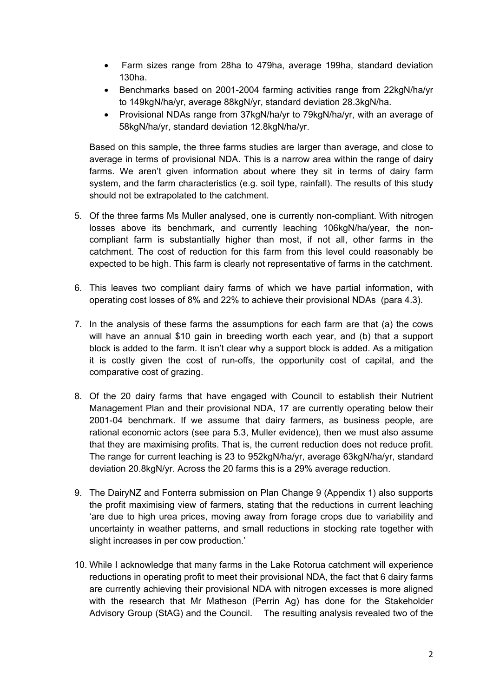- Farm sizes range from 28ha to 479ha, average 199ha, standard deviation 130ha.
- Benchmarks based on 2001-2004 farming activities range from 22kgN/ha/yr to 149kgN/ha/yr, average 88kgN/yr, standard deviation 28.3kgN/ha.
- Provisional NDAs range from 37kgN/ha/yr to 79kgN/ha/yr, with an average of 58kgN/ha/yr, standard deviation 12.8kgN/ha/yr.

Based on this sample, the three farms studies are larger than average, and close to average in terms of provisional NDA. This is a narrow area within the range of dairy farms. We aren't given information about where they sit in terms of dairy farm system, and the farm characteristics (e.g. soil type, rainfall). The results of this study should not be extrapolated to the catchment.

- 5. Of the three farms Ms Muller analysed, one is currently non-compliant. With nitrogen losses above its benchmark, and currently leaching 106kgN/ha/year, the noncompliant farm is substantially higher than most, if not all, other farms in the catchment. The cost of reduction for this farm from this level could reasonably be expected to be high. This farm is clearly not representative of farms in the catchment.
- 6. This leaves two compliant dairy farms of which we have partial information, with operating cost losses of 8% and 22% to achieve their provisional NDAs (para 4.3).
- 7. In the analysis of these farms the assumptions for each farm are that (a) the cows will have an annual \$10 gain in breeding worth each year, and (b) that a support block is added to the farm. It isn't clear why a support block is added. As a mitigation it is costly given the cost of run-offs, the opportunity cost of capital, and the comparative cost of grazing.
- 8. Of the 20 dairy farms that have engaged with Council to establish their Nutrient Management Plan and their provisional NDA, 17 are currently operating below their 2001-04 benchmark. If we assume that dairy farmers, as business people, are rational economic actors (see para 5.3, Muller evidence), then we must also assume that they are maximising profits. That is, the current reduction does not reduce profit. The range for current leaching is 23 to 952kgN/ha/yr, average 63kgN/ha/yr, standard deviation 20.8kgN/yr. Across the 20 farms this is a 29% average reduction.
- 9. The DairyNZ and Fonterra submission on Plan Change 9 (Appendix 1) also supports the profit maximising view of farmers, stating that the reductions in current leaching 'are due to high urea prices, moving away from forage crops due to variability and uncertainty in weather patterns, and small reductions in stocking rate together with slight increases in per cow production.'
- 10. While I acknowledge that many farms in the Lake Rotorua catchment will experience reductions in operating profit to meet their provisional NDA, the fact that 6 dairy farms are currently achieving their provisional NDA with nitrogen excesses is more aligned with the research that Mr Matheson (Perrin Ag) has done for the Stakeholder Advisory Group (StAG) and the Council. The resulting analysis revealed two of the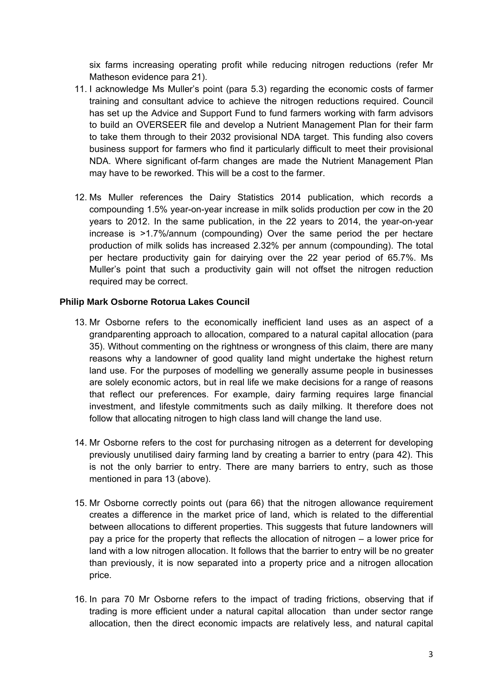six farms increasing operating profit while reducing nitrogen reductions (refer Mr Matheson evidence para 21).

- 11. I acknowledge Ms Muller's point (para 5.3) regarding the economic costs of farmer training and consultant advice to achieve the nitrogen reductions required. Council has set up the Advice and Support Fund to fund farmers working with farm advisors to build an OVERSEER file and develop a Nutrient Management Plan for their farm to take them through to their 2032 provisional NDA target. This funding also covers business support for farmers who find it particularly difficult to meet their provisional NDA. Where significant of-farm changes are made the Nutrient Management Plan may have to be reworked. This will be a cost to the farmer.
- 12. Ms Muller references the Dairy Statistics 2014 publication, which records a compounding 1.5% year-on-year increase in milk solids production per cow in the 20 years to 2012. In the same publication, in the 22 years to 2014, the year-on-year increase is >1.7%/annum (compounding) Over the same period the per hectare production of milk solids has increased 2.32% per annum (compounding). The total per hectare productivity gain for dairying over the 22 year period of 65.7%. Ms Muller's point that such a productivity gain will not offset the nitrogen reduction required may be correct.

## **Philip Mark Osborne Rotorua Lakes Council**

- 13. Mr Osborne refers to the economically inefficient land uses as an aspect of a grandparenting approach to allocation, compared to a natural capital allocation (para 35). Without commenting on the rightness or wrongness of this claim, there are many reasons why a landowner of good quality land might undertake the highest return land use. For the purposes of modelling we generally assume people in businesses are solely economic actors, but in real life we make decisions for a range of reasons that reflect our preferences. For example, dairy farming requires large financial investment, and lifestyle commitments such as daily milking. It therefore does not follow that allocating nitrogen to high class land will change the land use.
- 14. Mr Osborne refers to the cost for purchasing nitrogen as a deterrent for developing previously unutilised dairy farming land by creating a barrier to entry (para 42). This is not the only barrier to entry. There are many barriers to entry, such as those mentioned in para 13 (above).
- 15. Mr Osborne correctly points out (para 66) that the nitrogen allowance requirement creates a difference in the market price of land, which is related to the differential between allocations to different properties. This suggests that future landowners will pay a price for the property that reflects the allocation of nitrogen – a lower price for land with a low nitrogen allocation. It follows that the barrier to entry will be no greater than previously, it is now separated into a property price and a nitrogen allocation price.
- 16. In para 70 Mr Osborne refers to the impact of trading frictions, observing that if trading is more efficient under a natural capital allocation than under sector range allocation, then the direct economic impacts are relatively less, and natural capital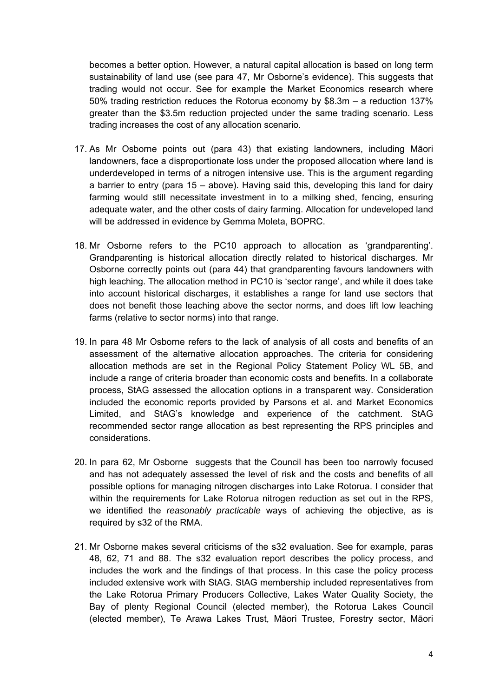becomes a better option. However, a natural capital allocation is based on long term sustainability of land use (see para 47, Mr Osborne's evidence). This suggests that trading would not occur. See for example the Market Economics research where 50% trading restriction reduces the Rotorua economy by \$8.3m – a reduction 137% greater than the \$3.5m reduction projected under the same trading scenario. Less trading increases the cost of any allocation scenario.

- 17. As Mr Osborne points out (para 43) that existing landowners, including Māori landowners, face a disproportionate loss under the proposed allocation where land is underdeveloped in terms of a nitrogen intensive use. This is the argument regarding a barrier to entry (para 15 – above). Having said this, developing this land for dairy farming would still necessitate investment in to a milking shed, fencing, ensuring adequate water, and the other costs of dairy farming. Allocation for undeveloped land will be addressed in evidence by Gemma Moleta, BOPRC.
- 18. Mr Osborne refers to the PC10 approach to allocation as 'grandparenting'. Grandparenting is historical allocation directly related to historical discharges. Mr Osborne correctly points out (para 44) that grandparenting favours landowners with high leaching. The allocation method in PC10 is 'sector range', and while it does take into account historical discharges, it establishes a range for land use sectors that does not benefit those leaching above the sector norms, and does lift low leaching farms (relative to sector norms) into that range.
- 19. In para 48 Mr Osborne refers to the lack of analysis of all costs and benefits of an assessment of the alternative allocation approaches. The criteria for considering allocation methods are set in the Regional Policy Statement Policy WL 5B, and include a range of criteria broader than economic costs and benefits. In a collaborate process, StAG assessed the allocation options in a transparent way. Consideration included the economic reports provided by Parsons et al. and Market Economics Limited, and StAG's knowledge and experience of the catchment. StAG recommended sector range allocation as best representing the RPS principles and considerations.
- 20. In para 62, Mr Osborne suggests that the Council has been too narrowly focused and has not adequately assessed the level of risk and the costs and benefits of all possible options for managing nitrogen discharges into Lake Rotorua. I consider that within the requirements for Lake Rotorua nitrogen reduction as set out in the RPS, we identified the *reasonably practicable* ways of achieving the objective, as is required by s32 of the RMA.
- 21. Mr Osborne makes several criticisms of the s32 evaluation. See for example, paras 48, 62, 71 and 88. The s32 evaluation report describes the policy process, and includes the work and the findings of that process. In this case the policy process included extensive work with StAG. StAG membership included representatives from the Lake Rotorua Primary Producers Collective, Lakes Water Quality Society, the Bay of plenty Regional Council (elected member), the Rotorua Lakes Council (elected member), Te Arawa Lakes Trust, Māori Trustee, Forestry sector, Māori